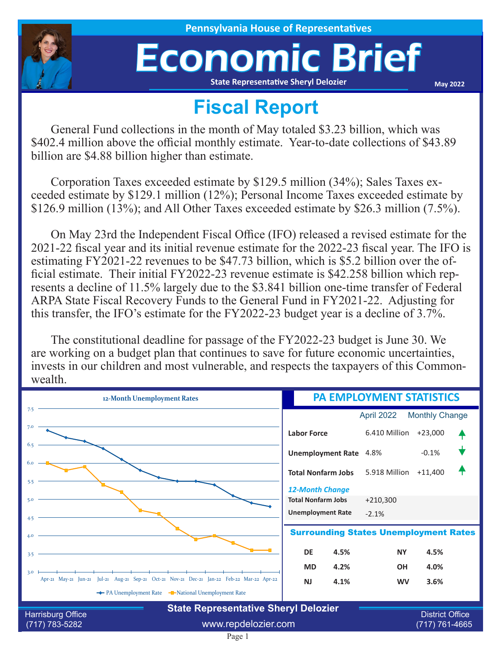

**House of Representatives** 

## Economic Brief **State Representative Sheryl Delozier**

**May 2022**

## **Fiscal Report**

General Fund collections in the month of May totaled \$3.23 billion, which was \$402.4 million above the official monthly estimate. Year-to-date collections of \$43.89 billion are \$4.88 billion higher than estimate.

Corporation Taxes exceeded estimate by \$129.5 million (34%); Sales Taxes exceeded estimate by \$129.1 million (12%); Personal Income Taxes exceeded estimate by \$126.9 million (13%); and All Other Taxes exceeded estimate by \$26.3 million (7.5%).

On May 23rd the Independent Fiscal Office (IFO) released a revised estimate for the 2021-22 fiscal year and its initial revenue estimate for the 2022-23 fiscal year. The IFO is estimating FY2021-22 revenues to be \$47.73 billion, which is \$5.2 billion over the official estimate. Their initial FY2022-23 revenue estimate is \$42.258 billion which represents a decline of 11.5% largely due to the \$3.841 billion one-time transfer of Federal ARPA State Fiscal Recovery Funds to the General Fund in FY2021-22. Adjusting for this transfer, the IFO's estimate for the FY2022-23 budget year is a decline of 3.7%.

The constitutional deadline for passage of the FY2022-23 budget is June 30. We are working on a budget plan that continues to save for future economic uncertainties, invests in our children and most vulnerable, and respects the taxpayers of this Commonwealth.

| 12-Month Unemployment Rates                                                                                                                           | <b>PA EMPLOYMENT STATISTICS</b>                     |                                          |                       |  |
|-------------------------------------------------------------------------------------------------------------------------------------------------------|-----------------------------------------------------|------------------------------------------|-----------------------|--|
| 7.5                                                                                                                                                   |                                                     | April 2022                               | <b>Monthly Change</b> |  |
| 7.0                                                                                                                                                   | <b>Labor Force</b>                                  | 6.410 Million                            | $+23,000$             |  |
| 6.5                                                                                                                                                   | <b>Unemployment Rate</b> 4.8%                       |                                          | $-0.1%$               |  |
| 6.0<br>5.5                                                                                                                                            | <b>Total Nonfarm Jobs</b>                           | 5.918 Million                            | $+11,400$             |  |
| 5.0                                                                                                                                                   | <b>12-Month Change</b><br><b>Total Nonfarm Jobs</b> | $+210,300$                               |                       |  |
| 4.5                                                                                                                                                   | <b>Unemployment Rate</b>                            | $-2.1%$                                  |                       |  |
| 4.0                                                                                                                                                   | <b>Surrounding States Unemployment Rates</b>        |                                          |                       |  |
| 3.5                                                                                                                                                   | 4.5%<br><b>DE</b>                                   | <b>NY</b>                                | 4.5%                  |  |
| 3.0                                                                                                                                                   | 4.2%<br><b>MD</b>                                   | <b>OH</b>                                | 4.0%                  |  |
| Apr-21 May-21 Jun-21 Jul-21 Aug-21 Sep-21 Oct-21 Nov-21 Dec-21 Jan-22 Feb-22 Mar-22 Apr-22<br>The PA Unemployment Rate The National Unemployment Rate | <b>NJ</b><br>4.1%                                   | <b>WV</b>                                | 3.6%                  |  |
|                                                                                                                                                       |                                                     |                                          |                       |  |
| <b>State Representative Sheryl Delozier</b><br><b>Harrisburg Office</b><br>www.repdelozier.com<br>$(717) 783 - 5282$                                  |                                                     | <b>District Office</b><br>(717) 761-4665 |                       |  |